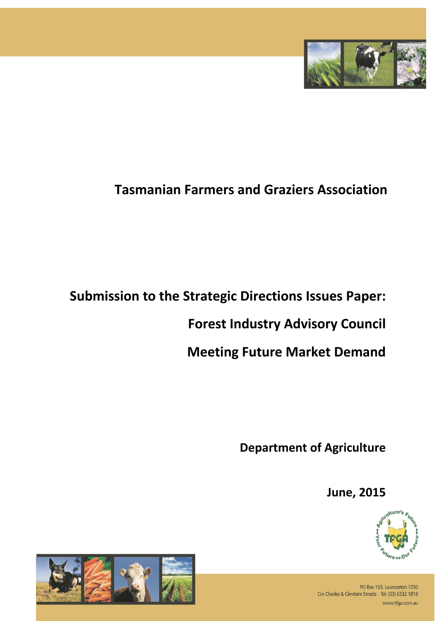

# **Tasmanian Farmers and Graziers Association**

## **Submission to the Strategic Directions Issues Paper:**

## **Forest Industry Advisory Council**

## **Meeting Future Market Demand**

**Department of Agriculture**

**June, 2015**





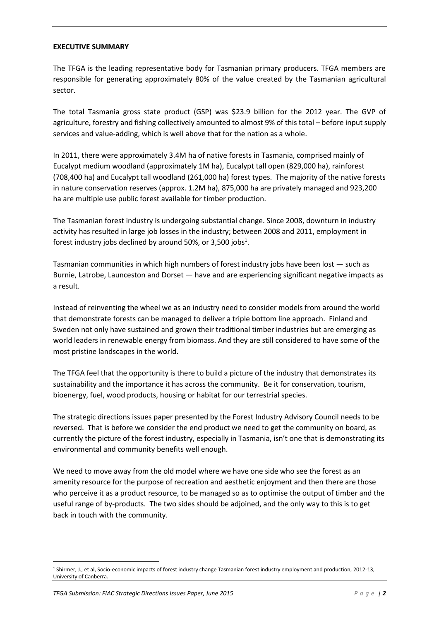#### **EXECUTIVE SUMMARY**

The TFGA is the leading representative body for Tasmanian primary producers. TFGA members are responsible for generating approximately 80% of the value created by the Tasmanian agricultural sector.

The total Tasmania gross state product (GSP) was \$23.9 billion for the 2012 year. The GVP of agriculture, forestry and fishing collectively amounted to almost 9% of this total – before input supply services and value-adding, which is well above that for the nation as a whole.

In 2011, there were approximately 3.4M ha of native forests in Tasmania, comprised mainly of Eucalypt medium woodland (approximately 1M ha), Eucalypt tall open (829,000 ha), rainforest (708,400 ha) and Eucalypt tall woodland (261,000 ha) forest types. The majority of the native forests in nature conservation reserves (approx. 1.2M ha), 875,000 ha are privately managed and 923,200 ha are multiple use public forest available for timber production.

The Tasmanian forest industry is undergoing substantial change. Since 2008, downturn in industry activity has resulted in large job losses in the industry; between 2008 and 2011, employment in forest industry jobs declined by around 50%, or 3,500 jobs<sup>1</sup>.

Tasmanian communities in which high numbers of forest industry jobs have been lost — such as Burnie, Latrobe, Launceston and Dorset — have and are experiencing significant negative impacts as a result.

Instead of reinventing the wheel we as an industry need to consider models from around the world that demonstrate forests can be managed to deliver a triple bottom line approach. Finland and Sweden not only have sustained and grown their traditional timber industries but are emerging as world leaders in renewable energy from biomass. And they are still considered to have some of the most pristine landscapes in the world.

The TFGA feel that the opportunity is there to build a picture of the industry that demonstrates its sustainability and the importance it has across the community. Be it for conservation, tourism, bioenergy, fuel, wood products, housing or habitat for our terrestrial species.

The strategic directions issues paper presented by the Forest Industry Advisory Council needs to be reversed. That is before we consider the end product we need to get the community on board, as currently the picture of the forest industry, especially in Tasmania, isn't one that is demonstrating its environmental and community benefits well enough.

We need to move away from the old model where we have one side who see the forest as an amenity resource for the purpose of recreation and aesthetic enjoyment and then there are those who perceive it as a product resource, to be managed so as to optimise the output of timber and the useful range of by-products. The two sides should be adjoined, and the only way to this is to get back in touch with the community.

**.** 

<sup>1</sup> Shirmer, J., et al, Socio-economic impacts of forest industry change Tasmanian forest industry employment and production, 2012-13, University of Canberra.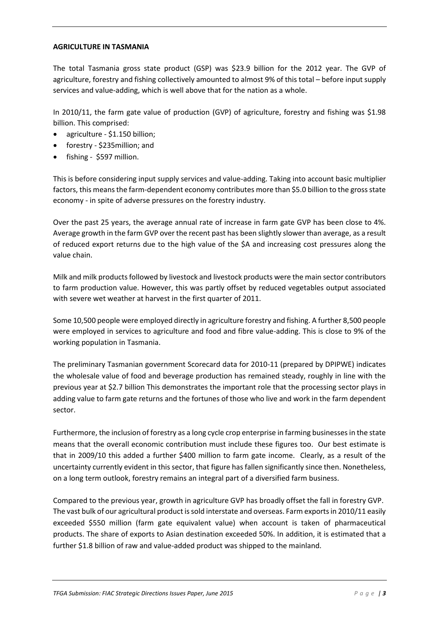#### **AGRICULTURE IN TASMANIA**

The total Tasmania gross state product (GSP) was \$23.9 billion for the 2012 year. The GVP of agriculture, forestry and fishing collectively amounted to almost 9% of this total – before input supply services and value-adding, which is well above that for the nation as a whole.

In 2010/11, the farm gate value of production (GVP) of agriculture, forestry and fishing was \$1.98 billion. This comprised:

- agriculture \$1.150 billion;
- forestry \$235million; and
- fishing \$597 million.

This is before considering input supply services and value-adding. Taking into account basic multiplier factors, this means the farm-dependent economy contributes more than \$5.0 billion to the gross state economy - in spite of adverse pressures on the forestry industry.

Over the past 25 years, the average annual rate of increase in farm gate GVP has been close to 4%. Average growth in the farm GVP over the recent past has been slightly slower than average, as a result of reduced export returns due to the high value of the \$A and increasing cost pressures along the value chain.

Milk and milk products followed by livestock and livestock products were the main sector contributors to farm production value. However, this was partly offset by reduced vegetables output associated with severe wet weather at harvest in the first quarter of 2011.

Some 10,500 people were employed directly in agriculture forestry and fishing. A further 8,500 people were employed in services to agriculture and food and fibre value-adding. This is close to 9% of the working population in Tasmania.

The preliminary Tasmanian government Scorecard data for 2010-11 (prepared by DPIPWE) indicates the wholesale value of food and beverage production has remained steady, roughly in line with the previous year at \$2.7 billion This demonstrates the important role that the processing sector plays in adding value to farm gate returns and the fortunes of those who live and work in the farm dependent sector.

Furthermore, the inclusion of forestry as a long cycle crop enterprise in farming businesses in the state means that the overall economic contribution must include these figures too. Our best estimate is that in 2009/10 this added a further \$400 million to farm gate income. Clearly, as a result of the uncertainty currently evident in this sector, that figure has fallen significantly since then. Nonetheless, on a long term outlook, forestry remains an integral part of a diversified farm business.

Compared to the previous year, growth in agriculture GVP has broadly offset the fall in forestry GVP. The vast bulk of our agricultural product is sold interstate and overseas. Farm exports in 2010/11 easily exceeded \$550 million (farm gate equivalent value) when account is taken of pharmaceutical products. The share of exports to Asian destination exceeded 50%. In addition, it is estimated that a further \$1.8 billion of raw and value-added product was shipped to the mainland.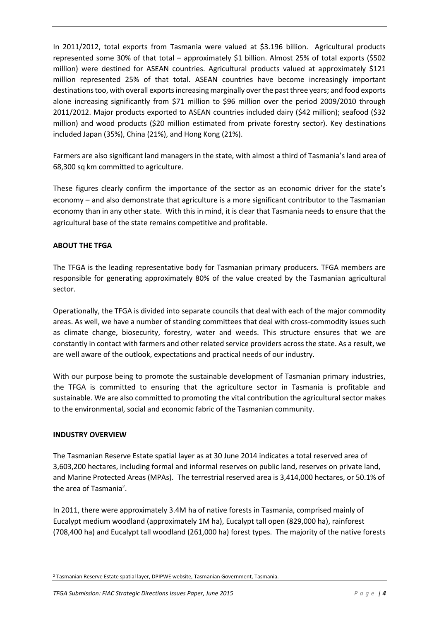In 2011/2012, total exports from Tasmania were valued at \$3.196 billion. Agricultural products represented some 30% of that total – approximately \$1 billion. Almost 25% of total exports (\$502 million) were destined for ASEAN countries. Agricultural products valued at approximately \$121 million represented 25% of that total. ASEAN countries have become increasingly important destinations too, with overall exports increasing marginally over the past three years; and food exports alone increasing significantly from \$71 million to \$96 million over the period 2009/2010 through 2011/2012. Major products exported to ASEAN countries included dairy (\$42 million); seafood (\$32 million) and wood products (\$20 million estimated from private forestry sector). Key destinations included Japan (35%), China (21%), and Hong Kong (21%).

Farmers are also significant land managers in the state, with almost a third of Tasmania's land area of 68,300 sq km committed to agriculture.

These figures clearly confirm the importance of the sector as an economic driver for the state's economy – and also demonstrate that agriculture is a more significant contributor to the Tasmanian economy than in any other state. With this in mind, it is clear that Tasmania needs to ensure that the agricultural base of the state remains competitive and profitable.

## **ABOUT THE TFGA**

The TFGA is the leading representative body for Tasmanian primary producers. TFGA members are responsible for generating approximately 80% of the value created by the Tasmanian agricultural sector.

Operationally, the TFGA is divided into separate councils that deal with each of the major commodity areas. As well, we have a number of standing committees that deal with cross-commodity issues such as climate change, biosecurity, forestry, water and weeds. This structure ensures that we are constantly in contact with farmers and other related service providers across the state. As a result, we are well aware of the outlook, expectations and practical needs of our industry.

With our purpose being to promote the sustainable development of Tasmanian primary industries. the TFGA is committed to ensuring that the agriculture sector in Tasmania is profitable and sustainable. We are also committed to promoting the vital contribution the agricultural sector makes to the environmental, social and economic fabric of the Tasmanian community.

## **INDUSTRY OVERVIEW**

The Tasmanian Reserve Estate spatial layer as at 30 June 2014 indicates a total reserved area of 3,603,200 hectares, including formal and informal reserves on public land, reserves on private land, and Marine Protected Areas (MPAs). The terrestrial reserved area is 3,414,000 hectares, or 50.1% of the area of Tasmania<sup>2</sup>.

In 2011, there were approximately 3.4M ha of native forests in Tasmania, comprised mainly of Eucalypt medium woodland (approximately 1M ha), Eucalypt tall open (829,000 ha), rainforest (708,400 ha) and Eucalypt tall woodland (261,000 ha) forest types. The majority of the native forests

**<sup>.</sup>** <sup>2</sup> Tasmanian Reserve Estate spatial layer, DPIPWE website, Tasmanian Government, Tasmania.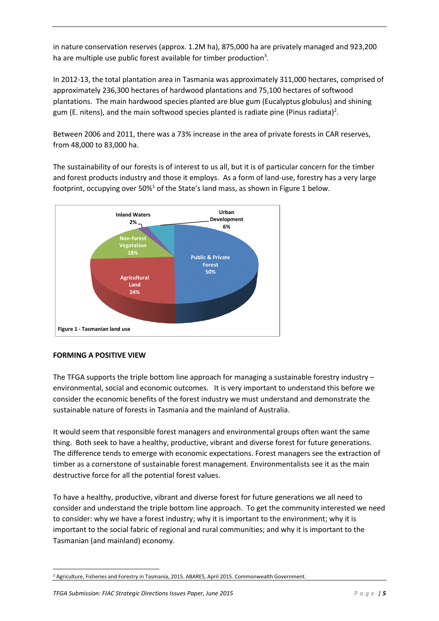in nature conservation reserves (approx. 1.2M ha), 875,000 ha are privately managed and 923,200 ha are multiple use public forest available for timber production<sup>3</sup>.

In 2012-13, the total plantation area in Tasmania was approximately 311,000 hectares, comprised of approximately 236,300 hectares of hardwood plantations and 75,100 hectares of softwood plantations. The main hardwood species planted are blue gum (Eucalyptus globulus) and shining gum (E. nitens), and the main softwood species planted is radiate pine (Pinus radiata)<sup>2</sup>.

Between 2006 and 2011, there was a 73% increase in the area of private forests in CAR reserves, from 48,000 to 83,000 ha.

The sustainability of our forests is of interest to us all, but it is of particular concern for the timber and forest products industry and those it employs. As a form of land-use, forestry has a very large footprint, occupying over  $50\%$ <sup>1</sup> of the State's land mass, as shown in Figure 1 below.



## **FORMING A POSITIVE VIEW**

The TFGA supports the triple bottom line approach for managing a sustainable forestry industry – environmental, social and economic outcomes. It is very important to understand this before we consider the economic benefits of the forest industry we must understand and demonstrate the sustainable nature of forests in Tasmania and the mainland of Australia.

It would seem that responsible forest managers and environmental groups often want the same thing. Both seek to have a healthy, productive, vibrant and diverse forest for future generations. The difference tends to emerge with economic expectations. Forest managers see the extraction of timber as a cornerstone of sustainable forest management. Environmentalists see it as the main destructive force for all the potential forest values.

To have a healthy, productive, vibrant and diverse forest for future generations we all need to consider and understand the triple bottom line approach. To get the community interested we need to consider: why we have a forest industry; why it is important to the environment; why it is important to the social fabric of regional and rural communities; and why it is important to the Tasmanian (and mainland) economy.

**<sup>.</sup>** <sup>3</sup> Agriculture, Fisheries and Forestry in Tasmania, 2015. ABARES, April 2015. Commonwealth Government.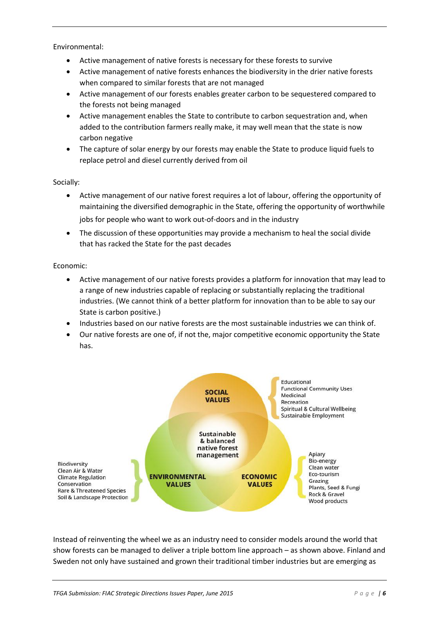Environmental:

- Active management of native forests is necessary for these forests to survive
- Active management of native forests enhances the biodiversity in the drier native forests when compared to similar forests that are not managed
- Active management of our forests enables greater carbon to be sequestered compared to the forests not being managed
- Active management enables the State to contribute to carbon sequestration and, when added to the contribution farmers really make, it may well mean that the state is now carbon negative
- The capture of solar energy by our forests may enable the State to produce liquid fuels to replace petrol and diesel currently derived from oil

Socially:

- Active management of our native forest requires a lot of labour, offering the opportunity of maintaining the diversified demographic in the State, offering the opportunity of worthwhile jobs for people who want to work out-of-doors and in the industry
- The discussion of these opportunities may provide a mechanism to heal the social divide that has racked the State for the past decades

Economic:

- Active management of our native forests provides a platform for innovation that may lead to a range of new industries capable of replacing or substantially replacing the traditional industries. (We cannot think of a better platform for innovation than to be able to say our State is carbon positive.)
- Industries based on our native forests are the most sustainable industries we can think of.
- Our native forests are one of, if not the, major competitive economic opportunity the State has.



Instead of reinventing the wheel we as an industry need to consider models around the world that show forests can be managed to deliver a triple bottom line approach – as shown above. Finland and Sweden not only have sustained and grown their traditional timber industries but are emerging as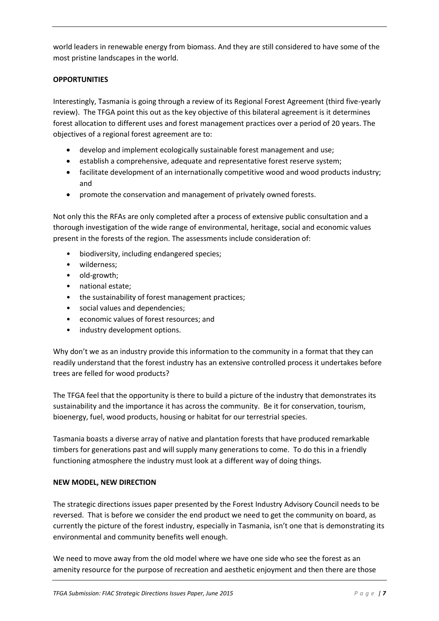world leaders in renewable energy from biomass. And they are still considered to have some of the most pristine landscapes in the world.

## **OPPORTUNITIES**

Interestingly, Tasmania is going through a review of its Regional Forest Agreement (third five-yearly review). The TFGA point this out as the key objective of this bilateral agreement is it determines forest allocation to different uses and forest management practices over a period of 20 years. The objectives of a regional forest agreement are to:

- develop and implement ecologically sustainable forest management and use;
- establish a comprehensive, adequate and representative forest reserve system;
- facilitate development of an internationally competitive wood and wood products industry; and
- promote the conservation and management of privately owned forests.

Not only this the RFAs are only completed after a process of extensive public consultation and a thorough investigation of the wide range of environmental, heritage, social and economic values present in the forests of the region. The assessments include consideration of:

- biodiversity, including endangered species;
- wilderness;
- old-growth;
- national estate;
- the sustainability of forest management practices;
- social values and dependencies;
- economic values of forest resources; and
- industry development options.

Why don't we as an industry provide this information to the community in a format that they can readily understand that the forest industry has an extensive controlled process it undertakes before trees are felled for wood products?

The TFGA feel that the opportunity is there to build a picture of the industry that demonstrates its sustainability and the importance it has across the community. Be it for conservation, tourism, bioenergy, fuel, wood products, housing or habitat for our terrestrial species.

Tasmania boasts a diverse array of native and plantation forests that have produced remarkable timbers for generations past and will supply many generations to come. To do this in a friendly functioning atmosphere the industry must look at a different way of doing things.

#### **NEW MODEL, NEW DIRECTION**

The strategic directions issues paper presented by the Forest Industry Advisory Council needs to be reversed. That is before we consider the end product we need to get the community on board, as currently the picture of the forest industry, especially in Tasmania, isn't one that is demonstrating its environmental and community benefits well enough.

We need to move away from the old model where we have one side who see the forest as an amenity resource for the purpose of recreation and aesthetic enjoyment and then there are those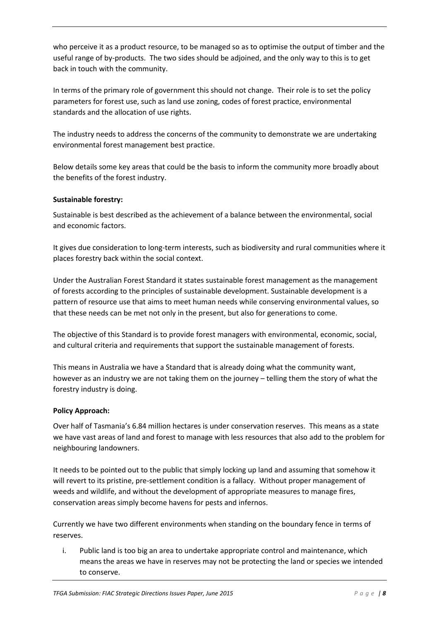who perceive it as a product resource, to be managed so as to optimise the output of timber and the useful range of by-products. The two sides should be adjoined, and the only way to this is to get back in touch with the community.

In terms of the primary role of government this should not change. Their role is to set the policy parameters for forest use, such as land use zoning, codes of forest practice, environmental standards and the allocation of use rights.

The industry needs to address the concerns of the community to demonstrate we are undertaking environmental forest management best practice.

Below details some key areas that could be the basis to inform the community more broadly about the benefits of the forest industry.

## **Sustainable forestry:**

Sustainable is best described as the achievement of a balance between the environmental, social and economic factors.

It gives due consideration to long-term interests, such as biodiversity and rural communities where it places forestry back within the social context.

Under the Australian Forest Standard it states sustainable forest management as the management of forests according to the principles of sustainable development. Sustainable development is a pattern of resource use that aims to meet human needs while conserving environmental values, so that these needs can be met not only in the present, but also for generations to come.

The objective of this Standard is to provide forest managers with environmental, economic, social, and cultural criteria and requirements that support the sustainable management of forests.

This means in Australia we have a Standard that is already doing what the community want, however as an industry we are not taking them on the journey – telling them the story of what the forestry industry is doing.

## **Policy Approach:**

Over half of Tasmania's 6.84 million hectares is under conservation reserves. This means as a state we have vast areas of land and forest to manage with less resources that also add to the problem for neighbouring landowners.

It needs to be pointed out to the public that simply locking up land and assuming that somehow it will revert to its pristine, pre-settlement condition is a fallacy. Without proper management of weeds and wildlife, and without the development of appropriate measures to manage fires, conservation areas simply become havens for pests and infernos.

Currently we have two different environments when standing on the boundary fence in terms of reserves.

i. Public land is too big an area to undertake appropriate control and maintenance, which means the areas we have in reserves may not be protecting the land or species we intended to conserve.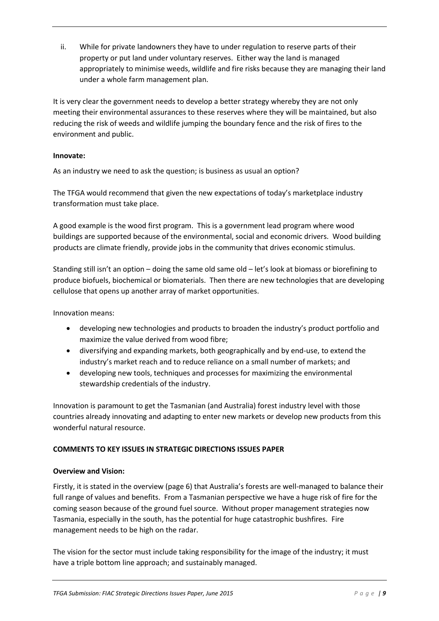ii. While for private landowners they have to under regulation to reserve parts of their property or put land under voluntary reserves. Either way the land is managed appropriately to minimise weeds, wildlife and fire risks because they are managing their land under a whole farm management plan.

It is very clear the government needs to develop a better strategy whereby they are not only meeting their environmental assurances to these reserves where they will be maintained, but also reducing the risk of weeds and wildlife jumping the boundary fence and the risk of fires to the environment and public.

#### **Innovate:**

As an industry we need to ask the question; is business as usual an option?

The TFGA would recommend that given the new expectations of today's marketplace industry transformation must take place.

A good example is the wood first program. This is a government lead program where wood buildings are supported because of the environmental, social and economic drivers. Wood building products are climate friendly, provide jobs in the community that drives economic stimulus.

Standing still isn't an option – doing the same old same old – let's look at biomass or biorefining to produce biofuels, biochemical or biomaterials. Then there are new technologies that are developing cellulose that opens up another array of market opportunities.

Innovation means:

- developing new technologies and products to broaden the industry's product portfolio and maximize the value derived from wood fibre;
- diversifying and expanding markets, both geographically and by end-use, to extend the industry's market reach and to reduce reliance on a small number of markets; and
- developing new tools, techniques and processes for maximizing the environmental stewardship credentials of the industry.

Innovation is paramount to get the Tasmanian (and Australia) forest industry level with those countries already innovating and adapting to enter new markets or develop new products from this wonderful natural resource.

## **COMMENTS TO KEY ISSUES IN STRATEGIC DIRECTIONS ISSUES PAPER**

#### **Overview and Vision:**

Firstly, it is stated in the overview (page 6) that Australia's forests are well-managed to balance their full range of values and benefits. From a Tasmanian perspective we have a huge risk of fire for the coming season because of the ground fuel source. Without proper management strategies now Tasmania, especially in the south, has the potential for huge catastrophic bushfires. Fire management needs to be high on the radar.

The vision for the sector must include taking responsibility for the image of the industry; it must have a triple bottom line approach; and sustainably managed.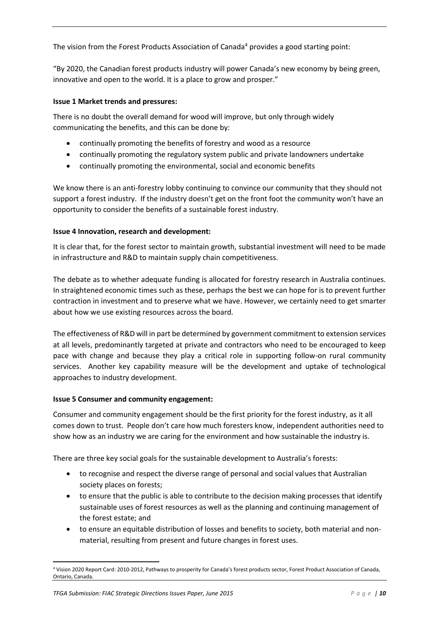The vision from the Forest Products Association of Canada<sup>4</sup> provides a good starting point:

"By 2020, the Canadian forest products industry will power Canada's new economy by being green, innovative and open to the world. It is a place to grow and prosper."

### **Issue 1 Market trends and pressures:**

There is no doubt the overall demand for wood will improve, but only through widely communicating the benefits, and this can be done by:

- continually promoting the benefits of forestry and wood as a resource
- continually promoting the regulatory system public and private landowners undertake
- continually promoting the environmental, social and economic benefits

We know there is an anti-forestry lobby continuing to convince our community that they should not support a forest industry. If the industry doesn't get on the front foot the community won't have an opportunity to consider the benefits of a sustainable forest industry.

#### **Issue 4 Innovation, research and development:**

It is clear that, for the forest sector to maintain growth, substantial investment will need to be made in infrastructure and R&D to maintain supply chain competitiveness.

The debate as to whether adequate funding is allocated for forestry research in Australia continues. In straightened economic times such as these, perhaps the best we can hope for is to prevent further contraction in investment and to preserve what we have. However, we certainly need to get smarter about how we use existing resources across the board.

The effectiveness of R&D will in part be determined by government commitment to extension services at all levels, predominantly targeted at private and contractors who need to be encouraged to keep pace with change and because they play a critical role in supporting follow-on rural community services. Another key capability measure will be the development and uptake of technological approaches to industry development.

#### **Issue 5 Consumer and community engagement:**

Consumer and community engagement should be the first priority for the forest industry, as it all comes down to trust. People don't care how much foresters know, independent authorities need to show how as an industry we are caring for the environment and how sustainable the industry is.

There are three key social goals for the sustainable development to Australia's forests:

- to recognise and respect the diverse range of personal and social values that Australian society places on forests;
- to ensure that the public is able to contribute to the decision making processes that identify sustainable uses of forest resources as well as the planning and continuing management of the forest estate; and
- to ensure an equitable distribution of losses and benefits to society, both material and nonmaterial, resulting from present and future changes in forest uses.

**<sup>.</sup>** <sup>4</sup> Vision 2020 Report Card: 2010-2012, Pathways to prosperity for Canada's forest products sector, Forest Product Association of Canada, Ontario, Canada.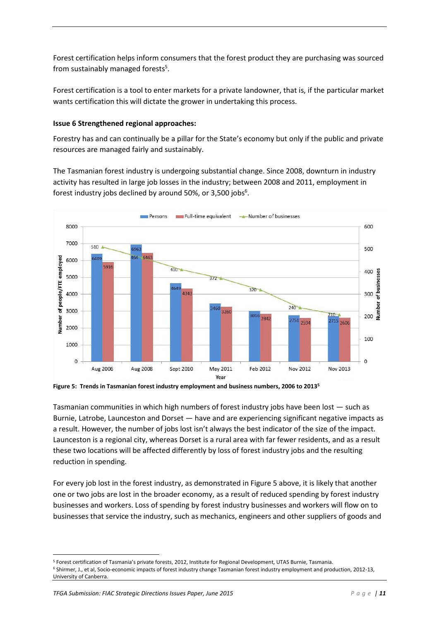Forest certification helps inform consumers that the forest product they are purchasing was sourced from sustainably managed forests<sup>5</sup>.

Forest certification is a tool to enter markets for a private landowner, that is, if the particular market wants certification this will dictate the grower in undertaking this process.

#### **Issue 6 Strengthened regional approaches:**

Forestry has and can continually be a pillar for the State's economy but only if the public and private resources are managed fairly and sustainably.

The Tasmanian forest industry is undergoing substantial change. Since 2008, downturn in industry activity has resulted in large job losses in the industry; between 2008 and 2011, employment in forest industry jobs declined by around 50%, or 3,500 jobs $6$ .



**Figure 5: Trends in Tasmanian forest industry employment and business numbers, 2006 to 2013<sup>5</sup>**

Tasmanian communities in which high numbers of forest industry jobs have been lost — such as Burnie, Latrobe, Launceston and Dorset — have and are experiencing significant negative impacts as a result. However, the number of jobs lost isn't always the best indicator of the size of the impact. Launceston is a regional city, whereas Dorset is a rural area with far fewer residents, and as a result these two locations will be affected differently by loss of forest industry jobs and the resulting reduction in spending.

For every job lost in the forest industry, as demonstrated in Figure 5 above, it is likely that another one or two jobs are lost in the broader economy, as a result of reduced spending by forest industry businesses and workers. Loss of spending by forest industry businesses and workers will flow on to businesses that service the industry, such as mechanics, engineers and other suppliers of goods and

 $\overline{a}$ 

<sup>5</sup> Forest certification of Tasmania's private forests, 2012, Institute for Regional Development, UTAS Burnie, Tasmania. <sup>6</sup> Shirmer, J., et al, Socio-economic impacts of forest industry change Tasmanian forest industry employment and production, 2012-13, University of Canberra.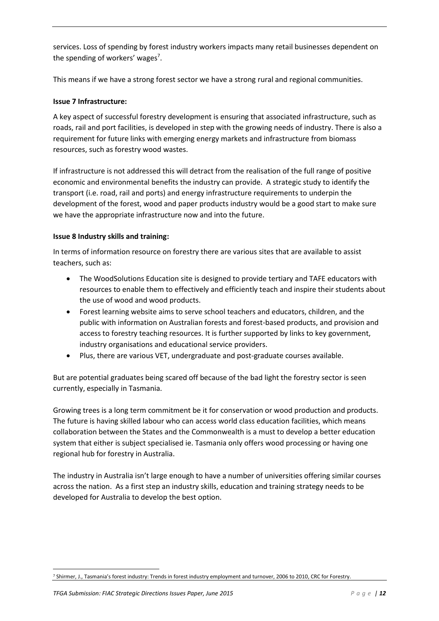services. Loss of spending by forest industry workers impacts many retail businesses dependent on the spending of workers' wages<sup>7</sup>.

This means if we have a strong forest sector we have a strong rural and regional communities.

### **Issue 7 Infrastructure:**

A key aspect of successful forestry development is ensuring that associated infrastructure, such as roads, rail and port facilities, is developed in step with the growing needs of industry. There is also a requirement for future links with emerging energy markets and infrastructure from biomass resources, such as forestry wood wastes.

If infrastructure is not addressed this will detract from the realisation of the full range of positive economic and environmental benefits the industry can provide. A strategic study to identify the transport (i.e. road, rail and ports) and energy infrastructure requirements to underpin the development of the forest, wood and paper products industry would be a good start to make sure we have the appropriate infrastructure now and into the future.

#### **Issue 8 Industry skills and training:**

In terms of information resource on forestry there are various sites that are available to assist teachers, such as:

- The WoodSolutions Education site is designed to provide tertiary and TAFE educators with resources to enable them to effectively and efficiently teach and inspire their students about the use of wood and wood products.
- Forest learning website aims to serve school teachers and educators, children, and the public with information on Australian forests and forest-based products, and provision and access to forestry teaching resources. It is further supported by links to key government, industry organisations and educational service providers.
- Plus, there are various VET, undergraduate and post-graduate courses available.

But are potential graduates being scared off because of the bad light the forestry sector is seen currently, especially in Tasmania.

Growing trees is a long term commitment be it for conservation or wood production and products. The future is having skilled labour who can access world class education facilities, which means collaboration between the States and the Commonwealth is a must to develop a better education system that either is subject specialised ie. Tasmania only offers wood processing or having one regional hub for forestry in Australia.

The industry in Australia isn't large enough to have a number of universities offering similar courses across the nation. As a first step an industry skills, education and training strategy needs to be developed for Australia to develop the best option.

**<sup>.</sup>** <sup>7</sup> Shirmer, J., Tasmania's forest industry: Trends in forest industry employment and turnover, 2006 to 2010, CRC for Forestry.